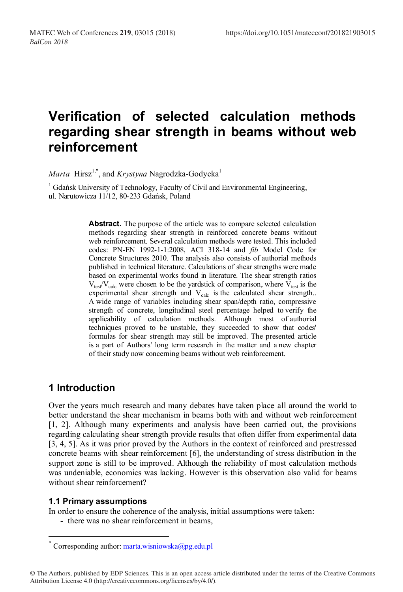# **Verification of selected calculation methods regarding shear strength in beams without web reinforcement**

*Marta* Hirsz<sup>1,\*</sup>, and *Krystyna* Nagrodzka-Godycka<sup>1</sup>

<sup>1</sup> Gdańsk University of Technology, Faculty of Civil and Environmental Engineering, ul. Narutowicza 11/12, 80-233 Gdańsk, Poland

> **Abstract.** The purpose of the article was to compare selected calculation methods regarding shear strength in reinforced concrete beams without web reinforcement. Several calculation methods were tested. This included codes: PN-EN 1992-1-1:2008, ACI 318-14 and *fib* Model Code for Concrete Structures 2010. The analysis also consists of authorial methods published in technical literature. Calculations of shear strengths were made based on experimental works found in literature. The shear strength ratios  $V_{test}/V_{calc}$  were chosen to be the yardstick of comparison, where  $V_{test}$  is the experimental shear strength and  $V_{\text{calc}}$  is the calculated shear strength.. A wide range of variables including shear span/depth ratio, compressive strength of concrete, longitudinal steel percentage helped to verify the applicability of calculation methods. Although most of authorial techniques proved to be unstable, they succeeded to show that codes' formulas for shear strength may still be improved. The presented article is a part of Authors' long term research in the matter and a new chapter of their study now concerning beams without web reinforcement.

### **1 Introduction**

Over the years much research and many debates have taken place all around the world to better understand the shear mechanism in beams both with and without web reinforcement [1, 2]. Although many experiments and analysis have been carried out, the provisions regarding calculating shear strength provide results that often differ from experimental data [3, 4, 5]. As it was prior proved by the Authors in the context of reinforced and prestressed concrete beams with shear reinforcement [6], the understanding of stress distribution in the support zone is still to be improved. Although the reliability of most calculation methods was undeniable, economics was lacking. However is this observation also valid for beams without shear reinforcement?

#### **1.1 Primary assumptions**

In order to ensure the coherence of the analysis, initial assumptions were taken:

- there was no shear reinforcement in beams,

© The Authors, published by EDP Sciences. This is an open access article distributed under the terms of the Creative Commons Attribution License 4.0 (http://creativecommons.org/licenses/by/4.0/).

<sup>\*</sup> Corresponding author: marta.wisniowska@pg.edu.pl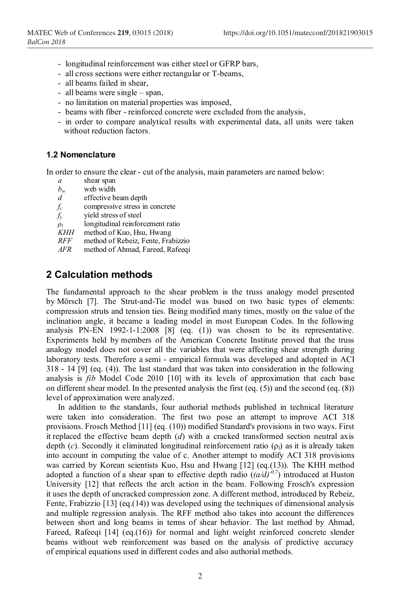- longitudinal reinforcement was either steel or GFRP bars,
- all cross sections were either rectangular or T-beams,
- all beams failed in shear,
- all beams were single span,
- no limitation on material properties was imposed,
- beams with fiber reinforced concrete were excluded from the analysis,
- in order to compare analytical results with experimental data, all units were taken without reduction factors.

#### **1.2 Nomenclature**

In order to ensure the clear - cut of the analysis, main parameters are named below:

- *a* shear span  $b_w$  web width
- $b_w$  web width  $d$  effective by
- *d* effective beam depth
- $f_c$  compressive stress in concrete<br> $f_v$  yield stress of steel
- vield stress of steel
- $\rho_l$  longitudinal reinforcement ratio *KHH* method of Kuo. Hsu, Hwang
- *KHH* method of Kuo, Hsu, Hwang<br>*RFF* method of Rebeiz, Fente, Fra
- *RFF* method of Rebeiz, Fente, Frabizzio<br>*AFR* method of Ahmad Fareed Rafeeqi
- *AFR* method of Ahmad, Fareed, Rafeeqi

## **2 Calculation methods**

The fundamental approach to the shear problem is the truss analogy model presented by Mörsch [7]. The Strut-and-Tie model was based on two basic types of elements: compression struts and tension ties. Being modified many times, mostly on the value of the inclination angle, it became a leading model in most European Codes. In the following analysis PN-EN 1992-1-1:2008 [8] (eq. (1)) was chosen to be its representative. Experiments held by members of the American Concrete Institute proved that the truss analogy model does not cover all the variables that were affecting shear strength during laboratory tests. Therefore a semi - empirical formula was developed and adopted in ACI 318 - 14 [9] (eq. (4)). The last standard that was taken into consideration in the following analysis is *fib* Model Code 2010 [10] with its levels of approximation that each base on different shear model. In the presented analysis the first (eq.  $(5)$ ) and the second (eq.  $(8)$ ) level of approximation were analyzed.

In addition to the standards, four authorial methods published in technical literature were taken into consideration. The first two pose an attempt to improve ACI 318 provisions. Frosch Method [11] (eq. (10)) modified Standard's provisions in two ways. First it replaced the effective beam depth (*d*) with a cracked transformed section neutral axis depth  $(c)$ . Secondly it eliminated longitudinal reinforcement ratio  $(\rho_1)$  as it is already taken into account in computing the value of c. Another attempt to modify ACI 318 provisions was carried by Korean scientists Kuo, Hsu and Hwang [12] (eq.(13)). The KHH method adopted a function of a shear span to effective depth radio  $((a/d)^{-0.7})$  introduced at Huston University [12] that reflects the arch action in the beam. Following Frosch's expression it uses the depth of uncracked compression zone. A different method, introduced by Rebeiz, Fente, Frabizzio [13] (eq.(14)) was developed using the techniques of dimensional analysis and multiple regression analysis. The RFF method also takes into account the differences between short and long beams in terms of shear behavior. The last method by Ahmad, Fareed, Rafeeqi [14] (eq.(16)) for normal and light weight reinforced concrete slender beams without web reinforcement was based on the analysis of predictive accuracy of empirical equations used in different codes and also authorial methods.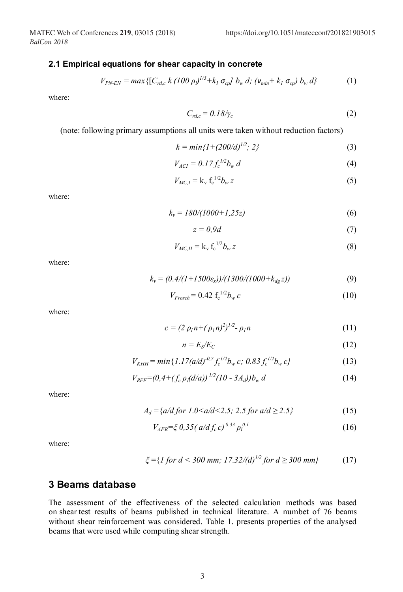#### **2.1 Empirical equations for shear capacity in concrete**

$$
V_{PN-EN} = max\{ [C_{rd,c} k (100 \rho)^{1/3} + k_1 \sigma_{cp} ] b_w d; (v_{min} + k_1 \sigma_{cp}) b_w d \}
$$
 (1)

where:

$$
C_{rd,c} = 0.18/\gamma_c \tag{2}
$$

(note: following primary assumptions all units were taken without reduction factors)

$$
k = min\{1 + (200/d)^{1/2}; 2\}
$$
 (3)

$$
V_{ACI} = 0.17 f_c^{1/2} b_w d
$$
 (4)

$$
V_{MC,I} = \mathbf{k}_v \mathbf{f}_c^{-1/2} b_w z \tag{5}
$$

where:

$$
k_v = 180/(1000 + 1,25z)
$$
 (6)

$$
z = 0.9d \tag{7}
$$

$$
V_{MC,II} = \mathbf{k}_{\rm v} \mathbf{f}_{\rm c}^{-1/2} b_w z \tag{8}
$$

where:

$$
k_v = (0.4/(1+1500\epsilon_x))/(1300/(1000+k_{dg}z))
$$
\n(9)

$$
V_{Frosch} = 0.42 \, \mathrm{f_c}^{1/2} b_w \, c \tag{10}
$$

where:

$$
c = (2 \rho_l n + (\rho_l n)^2)^{1/2} - \rho_l n \tag{11}
$$

$$
n = E_S/E_C \tag{12}
$$

$$
V_{KHH} = \min\{1.17(a/d)^{-0.7} f_c^{1/2} b_w c; 0.83 f_c^{1/2} b_w c\}
$$
 (13)

$$
V_{RFF} = (0.4 + (f_c \rho_l(d/a))^{1/2} (10 - 3A_d)) b_w d
$$
 (14)

where:

$$
A_d = \{a/d \text{ for } 1.0 < a/d < 2.5; 2.5 \text{ for } a/d \ge 2.5\} \tag{15}
$$

$$
V_{AFR} = \xi \, 0.35 \, (a/d \, f_c \, c)^{0.33} \, \rho_l^{0.1} \tag{16}
$$

where:

$$
\xi = \{1 \text{ for } d < 300 \text{ mm}; \ 17.32/(d)^{1/2} \text{ for } d \geq 300 \text{ mm}\} \tag{17}
$$

#### **3 Beams database**

The assessment of the effectiveness of the selected calculation methods was based on shear test results of beams published in technical literature. A numbet of 76 beams without shear reinforcement was considered. Table 1. presents properties of the analysed beams that were used while computing shear strength.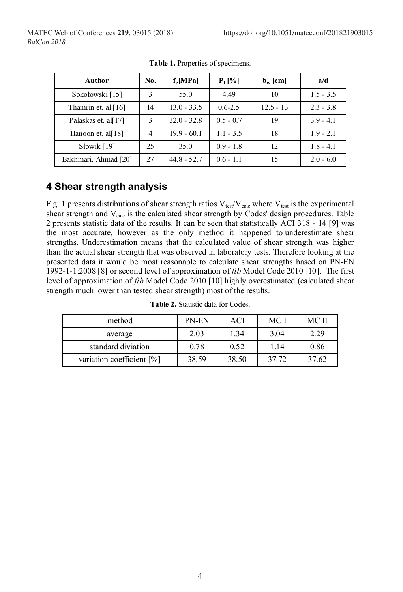| Author                | No. | $f_c[MPa]$    | $P_1$ [%]   | $\mathbf{b}_w$ [cm] | a/d         |
|-----------------------|-----|---------------|-------------|---------------------|-------------|
| Sokołowski [15]       | 3   | 55.0          | 4.49        | 10                  | $1.5 - 3.5$ |
| Thamrin et. al $[16]$ | 14  | $13.0 - 33.5$ | $0.6 - 2.5$ | $12.5 - 13$         | $2.3 - 3.8$ |
| Palaskas et. al[17]   | 3   | $32.0 - 32.8$ | $0.5 - 0.7$ | 19                  | $3.9 - 4.1$ |
| Hanoon et. al[18]     | 4   | $19.9 - 60.1$ | $1.1 - 3.5$ | 18                  | $1.9 - 2.1$ |
| Słowik [19]           | 25  | 35.0          | $0.9 - 1.8$ | 12                  | $1.8 - 4.1$ |
| Bakhmari, Ahmad [20]  | 27  | $44.8 - 52.7$ | $0.6 - 1.1$ | 15                  | $2.0 - 6.0$ |

**Table 1.** Properties of specimens.

# **4 Shear strength analysis**

Fig. 1 presents distributions of shear strength ratios  $V_{test}/V_{calc}$  where  $V_{test}$  is the experimental shear strength and  $V_{\text{calc}}$  is the calculated shear strength by Codes' design procedures. Table 2 presents statistic data of the results. It can be seen that statistically ACI 318 - 14 [9] was the most accurate, however as the only method it happened to underestimate shear strengths. Underestimation means that the calculated value of shear strength was higher than the actual shear strength that was observed in laboratory tests. Therefore looking at the presented data it would be most reasonable to calculate shear strengths based on PN-EN 1992-1-1:2008 [8] or second level of approximation of *fib* Model Code 2010 [10]. The first level of approximation of *fib* Model Code 2010 [10] highly overestimated (calculated shear strength much lower than tested shear strength) most of the results.

| method                    | PN-EN | ACI   | MC I  | MC II |
|---------------------------|-------|-------|-------|-------|
| average                   | 2.03  | 1.34  | 3.04  | 2.29  |
| standard diviation        | 0.78  | 0.52  | 1.14  | 0.86  |
| variation coefficient [%] | 38.59 | 38.50 | 37 72 | 37.62 |

**Table 2.** Statistic data for Codes.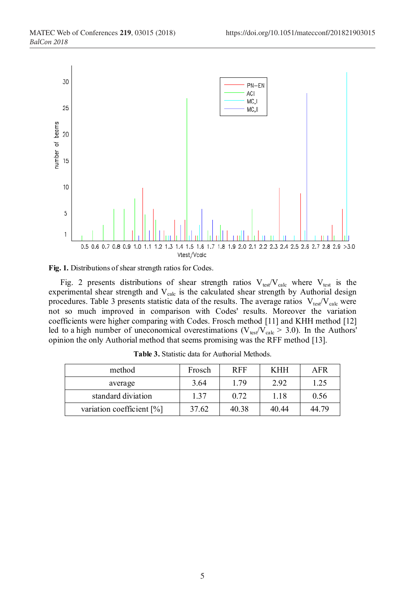



Fig. 2 presents distributions of shear strength ratios  $V_{test}/V_{calc}$  where  $V_{test}$  is the experimental shear strength and  $V_{calc}$  is the calculated shear strength by Authorial design procedures. Table 3 presents statistic data of the results. The average ratios  $V_{\text{test}}/V_{\text{calc}}$  were not so much improved in comparison with Codes' results. Moreover the variation coefficients were higher comparing with Codes. Frosch method [11] and KHH method [12] led to a high number of uneconomical overestimations ( $V_{\text{test}}/V_{\text{calc}} > 3.0$ ). In the Authors' opinion the only Authorial method that seems promising was the RFF method [13].

| method                       | Frosch | <b>RFF</b> | KHH   | AFR   |
|------------------------------|--------|------------|-------|-------|
| average                      | 3.64   | 1.79       | 2.92  | 1.25  |
| standard diviation           | 1.37   | 0.72       | 1.18  | 0.56  |
| variation coefficient $[\%]$ | 37.62  | 40.38      | 40 44 | 44 79 |

**Table 3.** Statistic data for Authorial Methods.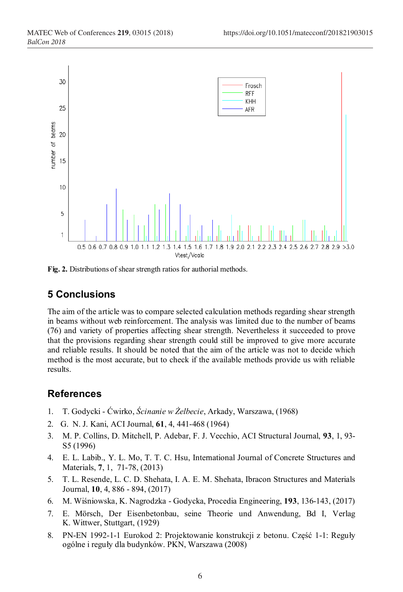

**Fig. 2.** Distributions of shear strength ratios for authorial methods.

# **5 Conclusions**

The aim of the article was to compare selected calculation methods regarding shear strength in beams without web reinforcement. The analysis was limited due to the number of beams (76) and variety of properties affecting shear strength. Nevertheless it succeeded to prove that the provisions regarding shear strength could still be improved to give more accurate and reliable results. It should be noted that the aim of the article was not to decide which method is the most accurate, but to check if the available methods provide us with reliable results.

# **References**

- 1. T. Godycki Ćwirko, *Ścinanie w Żelbecie*, Arkady, Warszawa, (1968)
- 2. G. N. J. Kani, ACI Journal, **61**, 4, 441-468 (1964)
- 3. M. P. Collins, D. Mitchell, P. Adebar, F. J. Vecchio, ACI Structural Journal, **93**, 1, 93- S5 (1996)
- 4. E. L. Labib., Y. L. Mo, T. T. C. Hsu, International Journal of Concrete Structures and Materials, **7**, 1, 71-78, (2013)
- 5. T. L. Resende, L. C. D. Shehata, I. A. E. M. Shehata, Ibracon Structures and Materials Journal, **10**, 4, 886 - 894, (2017)
- 6. M. Wiśniowska, K. Nagrodzka Godycka, Procedia Engineering, **193**, 136-143, (2017)
- 7. E. Mörsch, Der Eisenbetonbau, seine Theorie und Anwendung, Bd I, Verlag K. Wittwer, Stuttgart, (1929)
- 8. PN-EN 1992-1-1 Eurokod 2: Projektowanie konstrukcji z betonu. Część 1-1: Reguły ogólne i reguły dla budynków. PKN, Warszawa (2008)